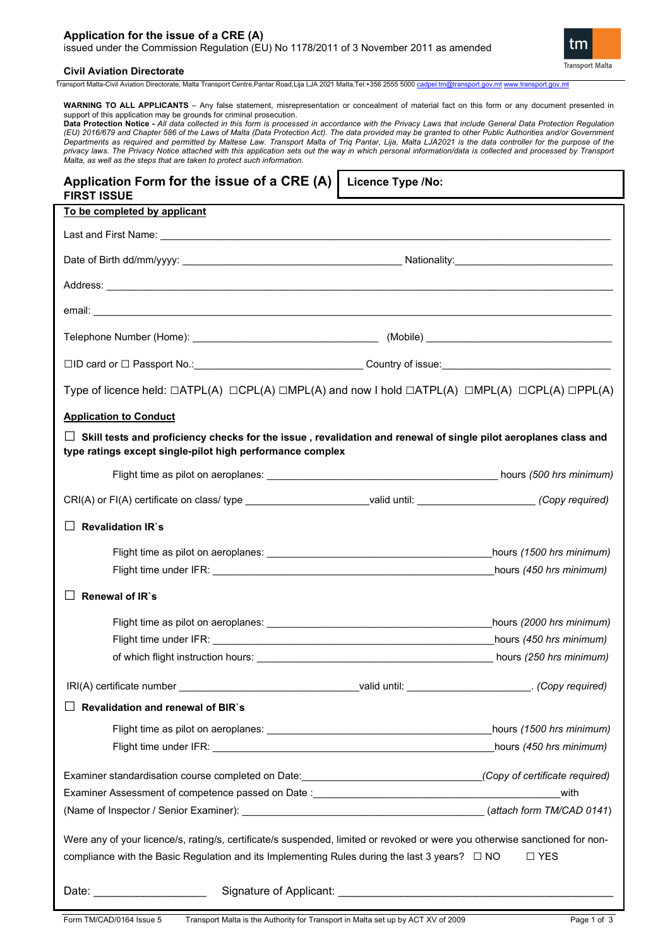# **Application for the issue of a CRE (A)** issued under the Commission Regulation (EU) No 1178/2011 of 3 November 2011 as amended



## **Civil Aviation Directorate**

Transport Malta-Civil Aviation Directorate, Malta Transport Centre,Pantar Road,Lija LJA 2021 Malta.Tel:+356 2555 5000 [cadpel.tm@transport.gov.mt](mailto:cadpel.tm@transport.gov.mt) [www.transport.gov.mt](http://www.transport.gov.mt/)

**WARNING TO ALL APPLICANTS** – Any false statement, misrepresentation or concealment of material fact on this form or any document presented in support of this application may be grounds for criminal prosecution.

**Data Protection Notice -** *All data collected in this form is processed in accordance with the Privacy Laws that include General Data Protection Regulation (EU) 2016/679 and Chapter 586 of the Laws of Malta (Data Protection Act). The data provided may be granted to other Public Authorities and/or Government*  Departments as required and permitted by Maltese Law. Transport Malta of Triq Pantar, Lija, Malta LJA2021 is the data controller for the purpose of the *privacy laws. The Privacy Notice attached with this application sets out the way in which personal information/data is collected and processed by Transport Malta, as well as the steps that are taken to protect such information.*

| Application Form for the issue of a CRE (A)<br><b>FIRST ISSUE</b>                                                                                                                            | <b>Licence Type /No:</b> |                          |  |  |
|----------------------------------------------------------------------------------------------------------------------------------------------------------------------------------------------|--------------------------|--------------------------|--|--|
| To be completed by applicant                                                                                                                                                                 |                          |                          |  |  |
|                                                                                                                                                                                              |                          |                          |  |  |
|                                                                                                                                                                                              |                          |                          |  |  |
|                                                                                                                                                                                              |                          |                          |  |  |
|                                                                                                                                                                                              |                          |                          |  |  |
|                                                                                                                                                                                              |                          |                          |  |  |
| □ID card or □ Passport No.:___________________________________Country of issue:_______________________________                                                                               |                          |                          |  |  |
| Type of licence held: $\Box$ ATPL(A) $\Box$ CPL(A) $\Box$ MPL(A) and now I hold $\Box$ ATPL(A) $\Box$ MPL(A) $\Box$ CPL(A) $\Box$ PPL(A)                                                     |                          |                          |  |  |
| <b>Application to Conduct</b>                                                                                                                                                                |                          |                          |  |  |
| Skill tests and proficiency checks for the issue, revalidation and renewal of single pilot aeroplanes class and<br>$\mathsf{L}$<br>type ratings except single-pilot high performance complex |                          |                          |  |  |
|                                                                                                                                                                                              |                          |                          |  |  |
| CRI(A) or FI(A) certificate on class/ type ___________________________valid until: ______________________(Copy required)                                                                     |                          |                          |  |  |
| ΙI<br><b>Revalidation IR's</b>                                                                                                                                                               |                          |                          |  |  |
|                                                                                                                                                                                              |                          | hours (1500 hrs minimum) |  |  |
|                                                                                                                                                                                              |                          | hours (450 hrs minimum)  |  |  |
| Renewal of IR's                                                                                                                                                                              |                          |                          |  |  |
|                                                                                                                                                                                              |                          | hours (2000 hrs minimum) |  |  |
|                                                                                                                                                                                              |                          | hours (450 hrs minimum)  |  |  |
|                                                                                                                                                                                              |                          | hours (250 hrs minimum)  |  |  |
| IRI(A) certificate number ___________________________________valid until: _______________________. (Copy required)                                                                           |                          |                          |  |  |
| Revalidation and renewal of BIR's                                                                                                                                                            |                          |                          |  |  |
|                                                                                                                                                                                              |                          |                          |  |  |
|                                                                                                                                                                                              |                          |                          |  |  |
| Examiner standardisation course completed on Date: ______________________________(Copy of certificate required)                                                                              |                          |                          |  |  |
|                                                                                                                                                                                              |                          |                          |  |  |
|                                                                                                                                                                                              |                          |                          |  |  |
| Were any of your licence/s, rating/s, certificate/s suspended, limited or revoked or were you otherwise sanctioned for non-                                                                  |                          |                          |  |  |
| compliance with the Basic Regulation and its Implementing Rules during the last 3 years? $\Box$ NO<br>$\Box$ YES                                                                             |                          |                          |  |  |
| Date: ______________________                                                                                                                                                                 |                          |                          |  |  |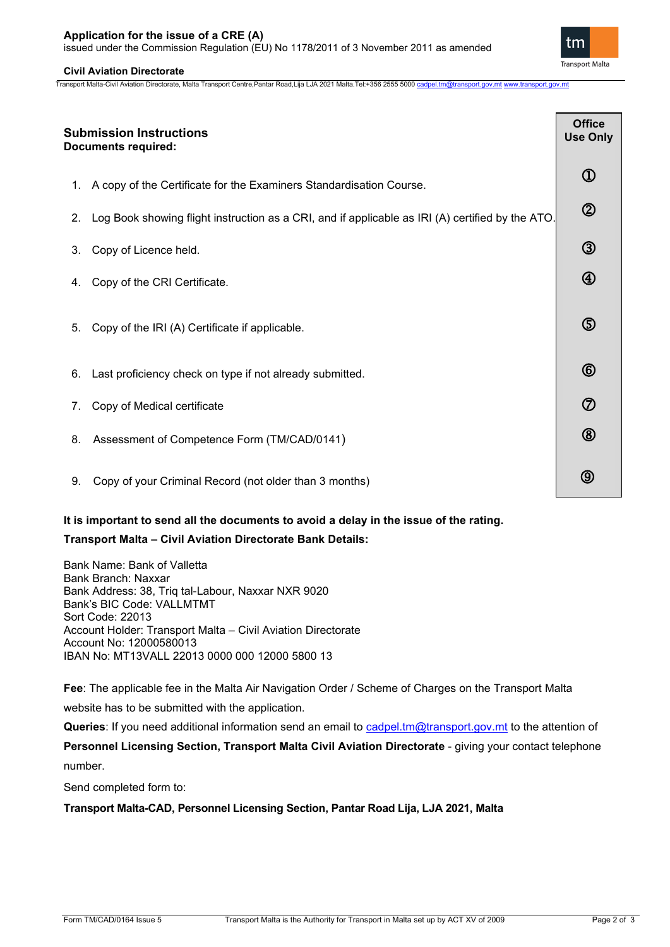issued under the Commission Regulation (EU) No 1178/2011 of 3 November 2011 as amended

# **Civil Aviation Directorate**

Transport Malta-Civil Aviation Directorate, Malta Transport Centre,Pantar Road,Lija LJA 2021 Malta.Tel:+356 2555 5000 [cadpel.tm@transport.gov.mt](mailto:cadpel.tm@transport.gov.mt) [www.transport.gov.mt](http://www.transport.gov.mt/)

**Transport Malta** 

⑦

ඹ

**(9)** 

| <b>Submission Instructions</b><br><b>Documents required:</b> |                                                                                                  | <b>Office</b><br><b>Use Only</b> |  |
|--------------------------------------------------------------|--------------------------------------------------------------------------------------------------|----------------------------------|--|
|                                                              | 1. A copy of the Certificate for the Examiners Standardisation Course.                           | $\textcircled{1}$                |  |
| 2.                                                           | Log Book showing flight instruction as a CRI, and if applicable as IRI (A) certified by the ATO. | $^{\circledR}$                   |  |
| 3.                                                           | Copy of Licence held.                                                                            | $\circledS$                      |  |
| 4.                                                           | Copy of the CRI Certificate.                                                                     | $^\circledR$                     |  |
| 5.                                                           | Copy of the IRI (A) Certificate if applicable.                                                   | $\circledS$                      |  |
| 6.                                                           | Last proficiency check on type if not already submitted.                                         | 6                                |  |

- 7. Copy of Medical certificate
- 8. Assessment of Competence Form (TM/CAD/0141)
- 9. Copy of your Criminal Record (not older than 3 months)

# **It is important to send all the documents to avoid a delay in the issue of the rating.**

# **Transport Malta – Civil Aviation Directorate Bank Details:**

Bank Name: Bank of Valletta Bank Branch: Naxxar Bank Address: 38, Triq tal-Labour, Naxxar NXR 9020 Bank's BIC Code: VALLMTMT Sort Code: 22013 Account Holder: Transport Malta – Civil Aviation Directorate Account No: 12000580013 IBAN No: MT13VALL 22013 0000 000 12000 5800 13

**Fee**: The applicable fee in the Malta Air Navigation Order / Scheme of Charges on the Transport Malta

website has to be submitted with the application.

Queries: If you need additional information send an email to [cadpel.tm@transport.gov.mt](mailto:cadpel.tm@transport.gov.mt) to the attention of

**Personnel Licensing Section, Transport Malta Civil Aviation Directorate** - giving your contact telephone number.

Send completed form to:

**Transport Malta-CAD, Personnel Licensing Section, Pantar Road Lija, LJA 2021, Malta**